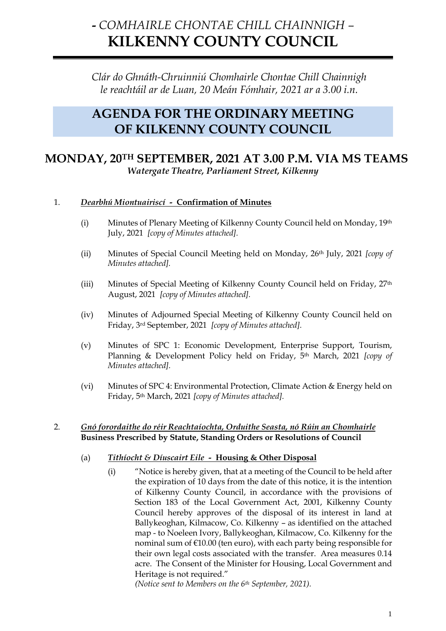# **-** *COMHAIRLE CHONTAE CHILL CHAINNIGH –* **KILKENNY COUNTY COUNCIL**

*Clár do Ghnáth-Chruinniú Chomhairle Chontae Chill Chainnigh le reachtáil ar de Luan, 20 Meán Fómhair, 2021 ar a 3.00 i.n.*

## **AGENDA FOR THE ORDINARY MEETING OF KILKENNY COUNTY COUNCIL**

## **MONDAY, 20TH SEPTEMBER, 2021 AT 3.00 P.M. VIA MS TEAMS** *Watergate Theatre, Parliament Street, Kilkenny*

## 1. *Dearbhú Miontuairiscí -* **Confirmation of Minutes**

- (i) Minutes of Plenary Meeting of Kilkenny County Council held on Monday, 19th July, 2021 *[copy of Minutes attached].*
- (ii) Minutes of Special Council Meeting held on Monday, 26th July, 2021 *[copy of Minutes attached].*
- (iii) Minutes of Special Meeting of Kilkenny County Council held on Friday, 27th August, 2021 *[copy of Minutes attached].*
- (iv) Minutes of Adjourned Special Meeting of Kilkenny County Council held on Friday, 3rd September, 2021 *[copy of Minutes attached].*
- (v) Minutes of SPC 1: Economic Development, Enterprise Support, Tourism, Planning & Development Policy held on Friday, 5th March, 2021 *[copy of Minutes attached].*
- (vi) Minutes of SPC 4: Environmental Protection, Climate Action & Energy held on Friday, 5th March, 2021 *[copy of Minutes attached].*

#### 2. *Gnó forordaithe do réir Reachtaíochta, Orduithe Seasta, nó Rúin an Chomhairle* **Business Prescribed by Statute, Standing Orders or Resolutions of Council**

#### (a) *Tithíocht & Díuscairt Eile -* **Housing & Other Disposal**

(i) "Notice is hereby given, that at a meeting of the Council to be held after the expiration of 10 days from the date of this notice, it is the intention of Kilkenny County Council, in accordance with the provisions of Section 183 of the Local Government Act, 2001, Kilkenny County Council hereby approves of the disposal of its interest in land at Ballykeoghan, Kilmacow, Co. Kilkenny – as identified on the attached map - to Noeleen Ivory, Ballykeoghan, Kilmacow, Co. Kilkenny for the nominal sum of €10.00 (ten euro), with each party being responsible for their own legal costs associated with the transfer. Area measures 0.14 acre. The Consent of the Minister for Housing, Local Government and Heritage is not required."

*(Notice sent to Members on the 6th September, 2021).*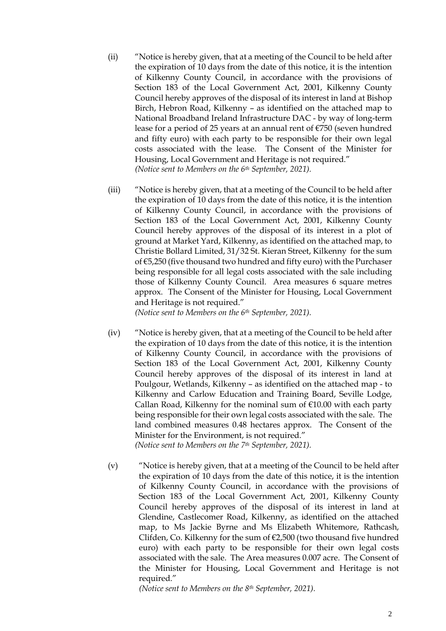- (ii) "Notice is hereby given, that at a meeting of the Council to be held after the expiration of 10 days from the date of this notice, it is the intention of Kilkenny County Council, in accordance with the provisions of Section 183 of the Local Government Act, 2001, Kilkenny County Council hereby approves of the disposal of its interest in land at Bishop Birch, Hebron Road, Kilkenny – as identified on the attached map to National Broadband Ireland Infrastructure DAC - by way of long-term lease for a period of 25 years at an annual rent of €750 (seven hundred and fifty euro) with each party to be responsible for their own legal costs associated with the lease. The Consent of the Minister for Housing, Local Government and Heritage is not required." *(Notice sent to Members on the 6th September, 2021).*
- (iii) "Notice is hereby given, that at a meeting of the Council to be held after the expiration of 10 days from the date of this notice, it is the intention of Kilkenny County Council, in accordance with the provisions of Section 183 of the Local Government Act, 2001, Kilkenny County Council hereby approves of the disposal of its interest in a plot of ground at Market Yard, Kilkenny, as identified on the attached map, to Christie Bollard Limited, 31/32 St. Kieran Street, Kilkenny for the sum of €5,250 (five thousand two hundred and fifty euro) with the Purchaser being responsible for all legal costs associated with the sale including those of Kilkenny County Council. Area measures 6 square metres approx. The Consent of the Minister for Housing, Local Government and Heritage is not required."

*(Notice sent to Members on the 6th September, 2021).*

(iv) "Notice is hereby given, that at a meeting of the Council to be held after the expiration of 10 days from the date of this notice, it is the intention of Kilkenny County Council, in accordance with the provisions of Section 183 of the Local Government Act, 2001, Kilkenny County Council hereby approves of the disposal of its interest in land at Poulgour, Wetlands, Kilkenny – as identified on the attached map - to Kilkenny and Carlow Education and Training Board, Seville Lodge, Callan Road, Kilkenny for the nominal sum of  $£10.00$  with each party being responsible for their own legal costs associated with the sale. The land combined measures 0.48 hectares approx. The Consent of the Minister for the Environment, is not required." *(Notice sent to Members on the 7th September, 2021).*

(v) "Notice is hereby given, that at a meeting of the Council to be held after the expiration of 10 days from the date of this notice, it is the intention of Kilkenny County Council, in accordance with the provisions of Section 183 of the Local Government Act, 2001, Kilkenny County Council hereby approves of the disposal of its interest in land at Glendine, Castlecomer Road, Kilkenny, as identified on the attached map, to Ms Jackie Byrne and Ms Elizabeth Whitemore, Rathcash, Clifden, Co. Kilkenny for the sum of €2,500 (two thousand five hundred euro) with each party to be responsible for their own legal costs associated with the sale. The Area measures 0.007 acre. The Consent of the Minister for Housing, Local Government and Heritage is not required."

*(Notice sent to Members on the 8th September, 2021).*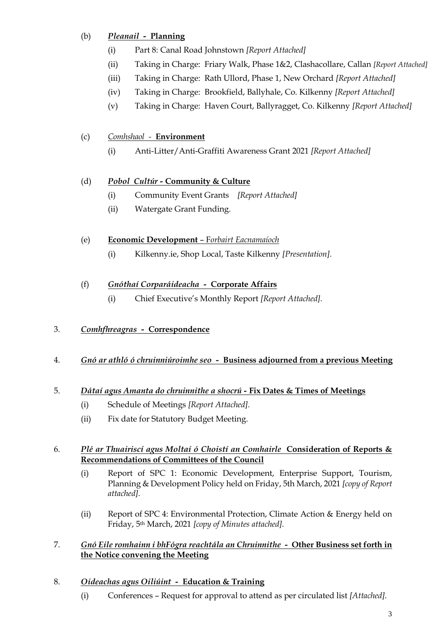## (b) *Pleanail -* **Planning**

- (i) Part 8: Canal Road Johnstown *[Report Attached]*
- (ii) Taking in Charge: Friary Walk, Phase 1&2, Clashacollare, Callan *[Report Attached]*
- (iii) Taking in Charge: Rath Ullord, Phase 1, New Orchard *[Report Attached]*
- (iv) Taking in Charge: Brookfield, Ballyhale, Co. Kilkenny *[Report Attached]*
- (v) Taking in Charge: Haven Court, Ballyragget, Co. Kilkenny *[Report Attached]*

## (c) *Comhshaol -* **Environment**

(i) Anti-Litter/Anti-Graffiti Awareness Grant 2021 *[Report Attached]*

## (d) *Pobol Cultúr -* **Community & Culture**

- (i) Community Event Grants *[Report Attached]*
- (ii) Watergate Grant Funding.

## (e) **Economic Development** – F*orbairt Eacnamaíoch*

(i) Kilkenny.ie, Shop Local, Taste Kilkenny *[Presentation].*

## (f) *Gnóthaí Corparáideacha -* **Corporate Affairs**

(i) Chief Executive's Monthly Report *[Report Attached].*

## 3. *Comhfhreagras -* **Correspondence**

## 4. *Gnó ar athló ó chruinniúroimhe seo -* **Business adjourned from a previous Meeting**

## 5. *Dátaí agus Amanta do chruinnithe a shocrú -* **Fix Dates & Times of Meetings**

- (i) Schedule of Meetings *[Report Attached].*
- (ii) Fix date for Statutory Budget Meeting.

#### 6. *Plé ar Thuairiscí agus Moltaí ó Choistí an Comhairle* **Consideration of Reports & Recommendations of Committees of the Council**

- (i) Report of SPC 1: Economic Development, Enterprise Support, Tourism, Planning & Development Policy held on Friday, 5th March, 2021 *[copy of Report attached].*
- (ii) Report of SPC 4: Environmental Protection, Climate Action & Energy held on Friday, 5th March, 2021 *[copy of Minutes attached].*

## 7. *Gnó Eile romhainn i bhFógra reachtála an Chruinnithe -* **Other Business set forth in the Notice convening the Meeting**

## 8. *Oideachas agus Oiliúint -* **Education & Training**

(i) Conferences – Request for approval to attend as per circulated list *[Attached].*